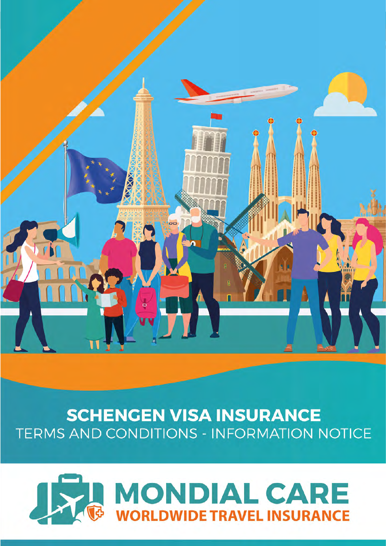

# **SCHENGEN VISA INSURANCE TERMS AND CONDITIONS - INFORMATION NOTICE**

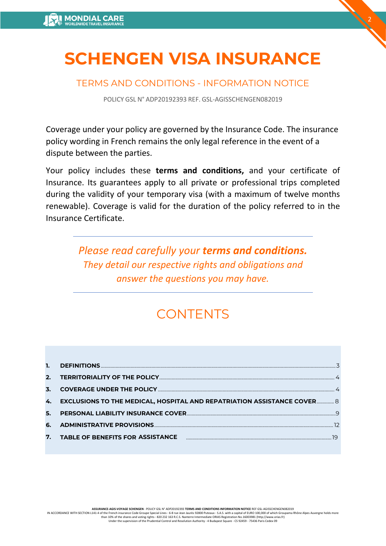# **SCHENGEN VISA INSURANCE**

2

# TERMS AND CONDITIONS - INFORMATION NOTICE

POLICY GSL N° ADP20192393 REF. GSL-AGISSCHENGEN082019

Coverage under your policy are governed by the Insurance Code. The insurance policy wording in French remains the only legal reference in the event of a dispute between the parties.

Your policy includes these **terms and conditions,** and your certificate of Insurance. Its guarantees apply to all private or professional trips completed during the validity of your temporary visa (with a maximum of twelve months renewable). Coverage is valid for the duration of the policy referred to in the Insurance Certificate.

> *Please read carefully your terms and conditions. They detail our respective rights and obligations and answer the questions you may have.*

# **CONTENTS**

| 4. EXCLUSIONS TO THE MEDICAL, HOSPITAL AND REPATRIATION ASSISTANCE COVER 8          |
|-------------------------------------------------------------------------------------|
|                                                                                     |
|                                                                                     |
| 7. TABLE OF BENEFITS FOR ASSISTANCE <b>Examinal contract and the STATE STATE</b> 19 |
|                                                                                     |

**ASSURANCE-AGIS-VOYAGE SCHENGEN** - POLICY GSL N° ADP20192393 **TERMS AND CONDITIONS INFORMATION NOTICE** REF GSL-AGISSCHENGEN082019

IN ACCORDANCE WITH SECTION L141-4 of the French insurance Code Groupe Special Lines - 6-8 rue Jean Jaurès 92800 Puteaux - S.A.S. with a capital of EURO 100,000 of which Groupama Rhône Alpes Auvergne holds more than 10% of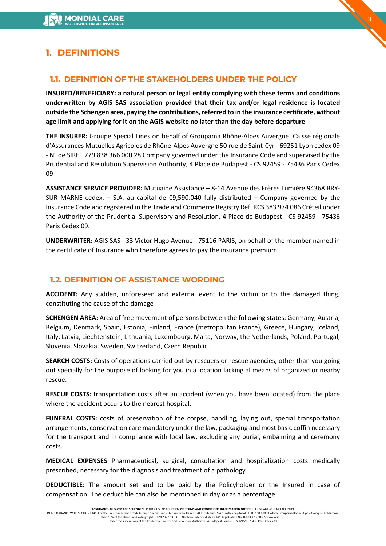# <span id="page-2-0"></span>**1. DEFINITIONS**

# **1.1. DEFINITION OF THE STAKEHOLDERS UNDER THE POLICY**

**INSURED/BENEFICIARY: a natural person or legal entity complying with these terms and conditions underwritten by AGIS SAS association provided that their tax and/or legal residence is located outside the Schengen area, paying the contributions,referred to in the insurance certificate, without age limit and applying for it on the AGIS website no later than the day before departure** 

3

**THE INSURER:** Groupe Special Lines on behalf of Groupama Rhône-Alpes Auvergne. Caisse régionale d'Assurances Mutuelles Agricoles de Rhône-Alpes Auvergne 50 rue de Saint-Cyr - 69251 Lyon cedex 09 - N° de SIRET 779 838 366 000 28 Company governed under the Insurance Code and supervised by the Prudential and Resolution Supervision Authority, 4 Place de Budapest - CS 92459 - 75436 Paris Cedex 09

**ASSISTANCE SERVICE PROVIDER:** Mutuaide Assistance – 8-14 Avenue des Frères Lumière 94368 BRY-SUR MARNE cedex. – S.A. au capital de  $\epsilon$ 9,590.040 fully distributed – Company governed by the Insurance Code and registered in the Trade and Commerce Registry Ref. RCS 383 974 086 Créteil under the Authority of the Prudential Supervisory and Resolution, 4 Place de Budapest - CS 92459 - 75436 Paris Cedex 09.

**UNDERWRITER:** AGIS SAS - 33 Victor Hugo Avenue - 75116 PARIS, on behalf of the member named in the certificate of Insurance who therefore agrees to pay the insurance premium.

## **1.2. DEFINITION OF ASSISTANCE WORDING**

**ACCIDENT:** Any sudden, unforeseen and external event to the victim or to the damaged thing, constituting the cause of the damage

**SCHENGEN AREA:** Area of free movement of persons between the following states: Germany, Austria, Belgium, Denmark, Spain, Estonia, Finland, France (metropolitan France), Greece, Hungary, Iceland, Italy, Latvia, Liechtenstein, Lithuania, Luxembourg, Malta, Norway, the Netherlands, Poland, Portugal, Slovenia, Slovakia, Sweden, Switzerland, Czech Republic.

**SEARCH COSTS:** Costs of operations carried out by rescuers or rescue agencies, other than you going out specially for the purpose of looking for you in a location lacking al means of organized or nearby rescue.

**RESCUE COSTS:** transportation costs after an accident (when you have been located) from the place where the accident occurs to the nearest hospital.

**FUNERAL COSTS:** costs of preservation of the corpse, handling, laying out, special transportation arrangements, conservation care mandatory under the law, packaging and most basic coffin necessary for the transport and in compliance with local law, excluding any burial, embalming and ceremony costs.

**MEDICAL EXPENSES** Pharmaceutical, surgical, consultation and hospitalization costs medically prescribed, necessary for the diagnosis and treatment of a pathology.

**DEDUCTIBLE:** The amount set and to be paid by the Policyholder or the Insured in case of compensation. The deductible can also be mentioned in day or as a percentage.

HOSPITALIZATION: emergency intervention for over 24 consecutive hours in a public or private hospital, unscheduled and that may not be postponed.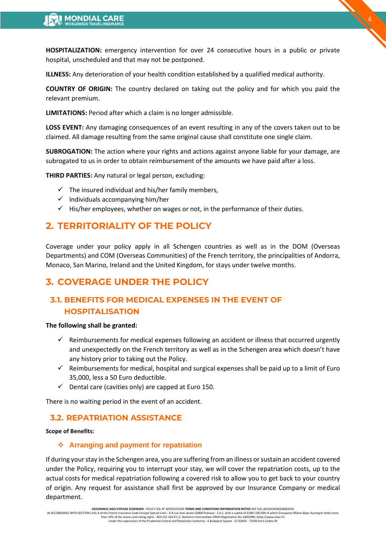**ILLNESS:** Any deterioration of your health condition established by a qualified medical authority.

**COUNTRY OF ORIGIN:** The country declared on taking out the policy and for which you paid the relevant premium.

4

**LIMITATIONS:** Period after which a claim is no longer admissible.

**LOSS EVENT:** Any damaging consequences of an event resulting in any of the covers taken out to be claimed. All damage resulting from the same original cause shall constitute one single claim.

**SUBROGATION:** The action where your rights and actions against anyone liable for your damage, are subrogated to us in order to obtain reimbursement of the amounts we have paid after a loss.

**WAITING PERIOD:** This is the period between the date of entry into force of the contract and the opening of the rights to compensation and during which the guarantees do not apply. Medical expenses relating to conditions and illnesses that manifested themselves during the waiting period are excluded from the cover.

**THIRD PARTIES:** Any natural or legal person, excluding:

- $\checkmark$  The insured individual and his/her family members,
- $\checkmark$  Individuals accompanying him/her
- $\checkmark$  His/her employees, whether on wages or not, in the performance of their duties.

# <span id="page-3-0"></span>**2. TERRITORIALITY OF THE POLICY**

Coverage under your policy apply in all Schengen countries as well as in the DOM (Overseas Departments) and COM (Overseas Communities) of the French territory, the principalities of Andorra, Monaco, San Marino, Ireland and the United Kingdom, for stays under twelve months.

# <span id="page-3-1"></span>**3. COVERAGE UNDER THE POLICY**

# **3.1. BENEFITS FOR MEDICAL EXPENSES IN THE EVENT OF HOSPITALISATION**

#### **The following shall be granted:**

- $\checkmark$  Reimbursements for medical expenses following an accident or illness that occurred urgently and unexpectedly on the French territory as well as in the Schengen area which doesn't have any history prior to taking out the Policy.
- $\checkmark$  Reimbursements for medical, hospital and surgical expenses shall be paid up to a limit of Euro 35,000, less a 50 Euro deductible.
- $\checkmark$  Dental care (cavities only) are capped at Euro 150.
- $\checkmark$  In the event of hospitalisation, medical and hospitalisation costs are only covered after a waiting period of 7 days.

There is no waiting period in the event of an accident.

# **3.2. REPATRIATION ASSISTANCE**

#### **Scope of Benefits:**

#### **Arranging and payment for repatriation**

If during your stay in the Schengen area, you are suffering from an illness or sustain an accident covered under the Policy, requiring you to interrupt your stay, we will cover the repatriation costs, up to the actual costs for medical repatriation following a covered risk to allow you to get back to your country of origin. Any request for assistance shall first be approved by our Insurance Company or medical department.

**ASSURANCE-AGIS-VOYAGE SCHENGEN -** POLICY GSL N° ADP20192393 T**ERMS AND CONDITIONS INFORMATION NOTICE** REF GSL-AGISSCHENGEN082019<br>IN ACCORDANCE WITH SECTION L141-4 of the French insurance Code Groupe Special Lines - 6-8 ru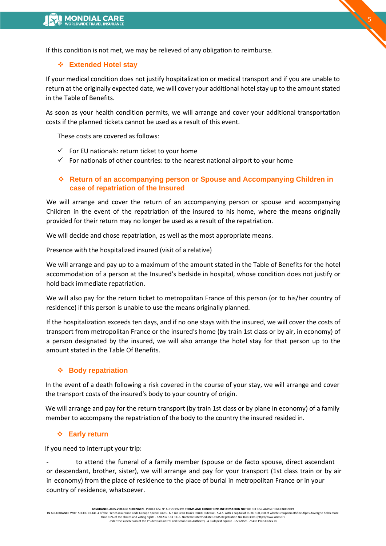If this condition is not met, we may be relieved of any obligation to reimburse.

#### **Extended Hotel stay**

If your medical condition does not justify hospitalization or medical transport and if you are unable to return at the originally expected date, we will cover your additional hotel stay up to the amount stated in the Table of Benefits.

5

As soon as your health condition permits, we will arrange and cover your additional transportation costs if the planned tickets cannot be used as a result of this event.

These costs are covered as follows:

- $\checkmark$  For EU nationals: return ticket to your home
- $\checkmark$  For nationals of other countries: to the nearest national airport to your home

## **Return of an accompanying person or Spouse and Accompanying Children in case of repatriation of the Insured**

We will arrange and cover the return of an accompanying person or spouse and accompanying Children in the event of the repatriation of the insured to his home, where the means originally provided for their return may no longer be used as a result of the repatriation.

We will decide and chose repatriation, as well as the most appropriate means.

Presence with the hospitalized insured (visit of a relative)

We will arrange and pay up to a maximum of the amount stated in the Table of Benefits for the hotel accommodation of a person at the Insured's bedside in hospital, whose condition does not justify or hold back immediate repatriation.

We will also pay for the return ticket to metropolitan France of this person (or to his/her country of residence) if this person is unable to use the means originally planned.

If the hospitalization exceeds ten days, and if no one stays with the insured, we will cover the costs of transport from metropolitan France or the insured's home (by train 1st class or by air, in economy) of a person designated by the insured, we will also arrange the hotel stay for that person up to the amount stated in the Table Of Benefits.

#### **❖** Body repatriation

In the event of a death following a risk covered in the course of your stay, we will arrange and cover the transport costs of the insured's body to your country of origin.

We will arrange and pay for the return transport (by train 1st class or by plane in economy) of a family member to accompany the repatriation of the body to the country the insured resided in.

#### **Early return**

If you need to interrupt your trip:

to attend the funeral of a family member (spouse or de facto spouse, direct ascendant or descendant, brother, sister), we will arrange and pay for your transport (1st class train or by air in economy) from the place of residence to the place of burial in metropolitan France or in your country of residence, whatsoever.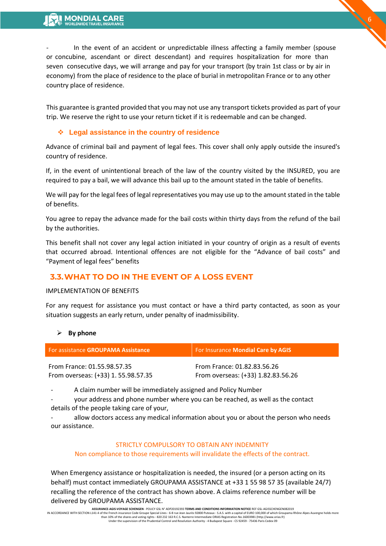In the event of an accident or unpredictable illness affecting a family member (spouse or concubine, ascendant or direct descendant) and requires hospitalization for more than seven consecutive days, we will arrange and pay for your transport (by train 1st class or by air in economy) from the place of residence to the place of burial in metropolitan France or to any other country place of residence.

6

This guarantee is granted provided that you may not use any transport tickets provided as part of your trip. We reserve the right to use your return ticket if it is redeemable and can be changed.

## **Legal assistance in the country of residence**

Advance of criminal bail and payment of legal fees. This cover shall only apply outside the insured's country of residence.

If, in the event of unintentional breach of the law of the country visited by the INSURED, you are required to pay a bail, we will advance this bail up to the amount stated in the table of benefits.

We will pay for the legal fees of legal representatives you may use up to the amount stated in the table of benefits.

You agree to repay the advance made for the bail costs within thirty days from the refund of the bail by the authorities.

This benefit shall not cover any legal action initiated in your country of origin as a result of events that occurred abroad. Intentional offences are not eligible for the "Advance of bail costs" and "Payment of legal fees" benefits

# **3.3.WHAT TO DO IN THE EVENT OF A LOSS EVENT**

#### IMPLEMENTATION OF BENEFITS

For any request for assistance you must contact or have a third party contacted, as soon as your situation suggests an early return, under penalty of inadmissibility.

#### **By phone**

| For assistance <b>GROUPAMA Assistance</b> | For Insurance Mondial Care by AGIS |  |
|-------------------------------------------|------------------------------------|--|
| From France: 01.55.98.57.35               | From France: 01.82.83.56.26        |  |
| From overseas: (+33) 1.55.98.57.35        | From overseas: (+33) 1.82.83.56.26 |  |

A claim number will be immediately assigned and Policy Number

your address and phone number where you can be reached, as well as the contact details of the people taking care of your,

allow doctors access any medical information about you or about the person who needs our assistance.

#### STRICTLY COMPULSORY TO OBTAIN ANY INDEMNITY

#### Non compliance to those requirements will invalidate the effects of the contract.

When Emergency assistance or hospitalization is needed, the insured (or a person acting on its behalf) must contact immediately GROUPAMA ASSISTANCE at +33 1 55 98 57 35 (available 24/7) recalling the reference of the contract has shown above. A claims reference number will be delivered by GROUPAMA ASSISTANCE.

**ASSURANCE-AGIS-VOYAGE SCHENGEN** - POLICY GSL N° ADP20192393 **TERMS AND CONDITIONS INFORMATION NOTICE** REF GSL-AGISSCHENGEN082019 IN ACCORDANCE WITH SECTION L141-4 of the French insurance Code Groupe Special Lines - 6-8 rue Jean Jaurès 92800 Puteaux - S.A.S. with a capital of EURO 100,000 of which Groupama Rhône Alpes Auvergne holds more than 10% of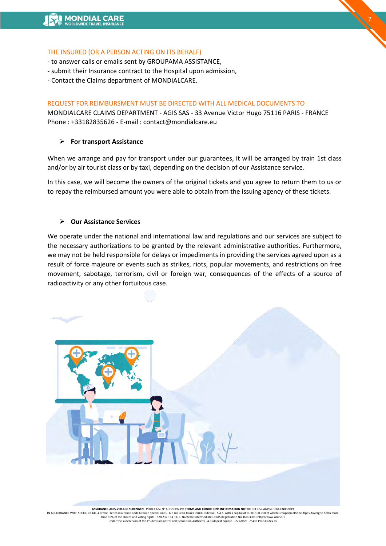#### THE INSURED (OR A PERSON ACTING ON ITS BEHALF)

- to answer calls or emails sent by GROUPAMA ASSISTANCE,
- submit their Insurance contract to the Hospital upon admission,
- Contact the Claims department of MONDIALCARE.

#### REQUEST FOR REIMBURSMENT MUST BE DIRECTED WITH ALL MEDICAL DOCUMENTS TO

MONDIALCARE CLAIMS DEPARTMENT - AGIS SAS - 33 Avenue Victor Hugo 75116 PARIS - FRANCE Phone : +33182835626 - E-mail : contact@mondialcare.eu

7

#### **For transport Assistance**

When we arrange and pay for transport under our guarantees, it will be arranged by train 1st class and/or by air tourist class or by taxi, depending on the decision of our Assistance service.

In this case, we will become the owners of the original tickets and you agree to return them to us or to repay the reimbursed amount you were able to obtain from the issuing agency of these tickets.

#### **Our Assistance Services**

We operate under the national and international law and regulations and our services are subject to the necessary authorizations to be granted by the relevant administrative authorities. Furthermore, we may not be held responsible for delays or impediments in providing the services agreed upon as a result of force majeure or events such as strikes, riots, popular movements, and restrictions on free movement, sabotage, terrorism, civil or foreign war, consequences of the effects of a source of radioactivity or any other fortuitous case.



**ASSURANCE-AGIS-VOYAGE SCHENGEN -** POLICY GSL N° ADP20192393 T**ERMS AND CONDITIONS INFORMATION NOTICE** REF GSL-AGISSCHENGEN082019<br>IN ACCORDANCE WITH SECTION L141-4 of the French insurance Code Groupe Special Lines - 6-8 ru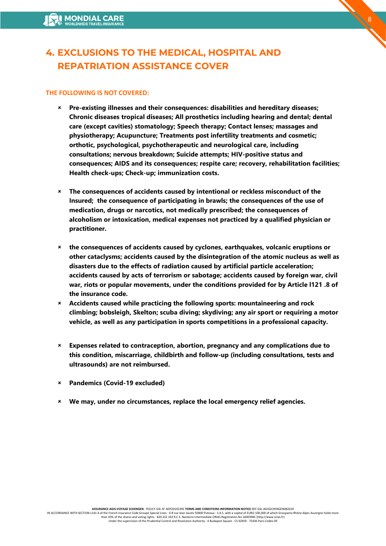# <span id="page-7-0"></span>**4. EXCLUSIONS TO THE MEDICAL, HOSPITAL AND REPATRIATION ASSISTANCE COVER**

## **THE FOLLOWING IS NOT COVERED:**

 **Pre-existing illnesses and their consequences: disabilities and hereditary diseases; Chronic diseases tropical diseases; All prosthetics including hearing and dental; dental care (except cavities) stomatology; Speech therapy; Contact lenses; massages and physiotherapy; Acupuncture; Treatments post infertility treatments and cosmetic; orthotic, psychological, psychotherapeutic and neurological care, including consultations; nervous breakdown; Suicide attempts; HIV-positive status and consequences; AIDS and its consequences; respite care; recovery, rehabilitation facilities; Health check-ups; Check-up; immunization costs.**

 $\mathcal{L}^8$ 

- **The consequences of accidents caused by intentional or reckless misconduct of the Insured; the consequence of participating in brawls; the consequences of the use of medication, drugs or narcotics, not medically prescribed; the consequences of alcoholism or intoxication, medical expenses not practiced by a qualified physician or practitioner.**
- **the consequences of accidents caused by cyclones, earthquakes, volcanic eruptions or other cataclysms; accidents caused by the disintegration of the atomic nucleus as well as disasters due to the effects of radiation caused by artificial particle acceleration; accidents caused by acts of terrorism or sabotage; accidents caused by foreign war, civil war, riots or popular movements, under the conditions provided for by Article l121 .8 of the insurance code.**
- **Accidents caused while practicing the following sports: mountaineering and rock climbing; bobsleigh, Skelton; scuba diving; skydiving; any air sport or requiring a motor vehicle, as well as any participation in sports competitions in a professional capacity.**
- **Expenses related to contraception, abortion, pregnancy and any complications due to this condition, miscarriage, childbirth and follow-up (including consultations, tests and ultrasounds) are not reimbursed.**
- **Pandemics (Covid-19 excluded)**
- **We may, under no circumstances, replace the local emergency relief agencies.**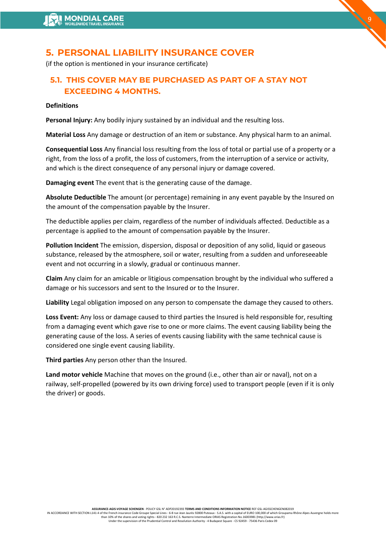# <span id="page-8-0"></span>**5. PERSONAL LIABILITY INSURANCE COVER**

(if the option is mentioned in your insurance certificate)

# **5.1. THIS COVER MAY BE PURCHASED AS PART OF A STAY NOT EXCEEDING 4 MONTHS.**

#### **Definitions**

**Personal Injury:** Any bodily injury sustained by an individual and the resulting loss.

**Material Loss** Any damage or destruction of an item or substance. Any physical harm to an animal.

9

**Consequential Loss** Any financial loss resulting from the loss of total or partial use of a property or a right, from the loss of a profit, the loss of customers, from the interruption of a service or activity, and which is the direct consequence of any personal injury or damage covered.

**Damaging event** The event that is the generating cause of the damage.

**Absolute Deductible** The amount (or percentage) remaining in any event payable by the Insured on the amount of the compensation payable by the Insurer.

The deductible applies per claim, regardless of the number of individuals affected. Deductible as a percentage is applied to the amount of compensation payable by the Insurer.

**Pollution Incident** The emission, dispersion, disposal or deposition of any solid, liquid or gaseous substance, released by the atmosphere, soil or water, resulting from a sudden and unforeseeable event and not occurring in a slowly, gradual or continuous manner.

**Claim** Any claim for an amicable or litigious compensation brought by the individual who suffered a damage or his successors and sent to the Insured or to the Insurer.

**Liability** Legal obligation imposed on any person to compensate the damage they caused to others.

**Loss Event:** Any loss or damage caused to third parties the Insured is held responsible for, resulting from a damaging event which gave rise to one or more claims. The event causing liability being the generating cause of the loss. A series of events causing liability with the same technical cause is considered one single event causing liability.

**Third parties** Any person other than the Insured.

**Land motor vehicle** Machine that moves on the ground (i.e., other than air or naval), not on a railway, self-propelled (powered by its own driving force) used to transport people (even if it is only the driver) or goods.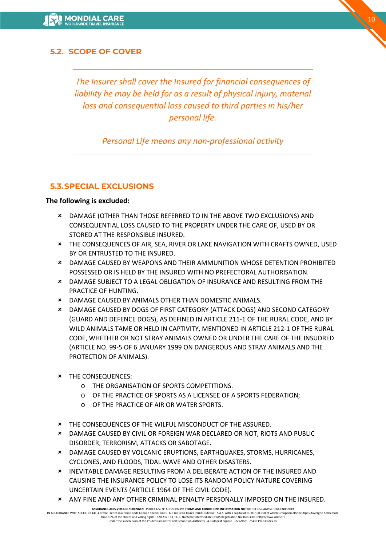# **5.2. SCOPE OF COVER**

*The Insurer shall cover the Insured for financial consequences of liability he may be held for as a result of physical injury, material loss and consequential loss caused to third parties in his/her personal life.* 

*Personal Life means any non-professional activity*

# **5.3.SPECIAL EXCLUSIONS**

#### **The following is excluded:**

- DAMAGE (OTHER THAN THOSE REFERRED TO IN THE ABOVE TWO EXCLUSIONS) AND CONSEQUENTIAL LOSS CAUSED TO THE PROPERTY UNDER THE CARE OF, USED BY OR STORED AT THE RESPONSIBLE INSURED.
- THE CONSEQUENCES OF AIR, SEA, RIVER OR LAKE NAVIGATION WITH CRAFTS OWNED, USED BY OR ENTRUSTED TO THE INSURED.
- DAMAGE CAUSED BY WEAPONS AND THEIR AMMUNITION WHOSE DETENTION PROHIBITED POSSESSED OR IS HELD BY THE INSURED WITH NO PREFECTORAL AUTHORISATION.
- DAMAGE SUBJECT TO A LEGAL OBLIGATION OF INSURANCE AND RESULTING FROM THE PRACTICE OF HUNTING.
- DAMAGE CAUSED BY ANIMALS OTHER THAN DOMESTIC ANIMALS.
- DAMAGE CAUSED BY DOGS OF FIRST CATEGORY (ATTACK DOGS) AND SECOND CATEGORY (GUARD AND DEFENCE DOGS), AS DEFINED IN ARTICLE 211-1 OF THE RURAL CODE, AND BY WILD ANIMALS TAME OR HELD IN CAPTIVITY, MENTIONED IN ARTICLE 212-1 OF THE RURAL CODE, WHETHER OR NOT STRAY ANIMALS OWNED OR UNDER THE CARE OF THE INSUDRED (ARTICLE NO. 99-5 OF 6 JANUARY 1999 ON DANGEROUS AND STRAY ANIMALS AND THE PROTECTION OF ANIMALS).
- **\*** THE CONSEQUENCES:
	- o THE ORGANISATION OF SPORTS COMPETITIONS.
	- o OF THE PRACTICE OF SPORTS AS A LICENSEE OF A SPORTS FEDERATION;
	- o OF THE PRACTICE OF AIR OR WATER SPORTS.
- THE CONSEQUENCES OF THE WILFUL MISCONDUCT OF THE ASSURED.
- DAMAGE CAUSED BY CIVIL OR FOREIGN WAR DECLARED OR NOT, RIOTS AND PUBLIC DISORDER, TERRORISM, ATTACKS OR SABOTAGE**.**
- DAMAGE CAUSED BY VOLCANIC ERUPTIONS, EARTHQUAKES, STORMS, HURRICANES, CYCLONES, AND FLOODS, TIDAL WAVE AND OTHER DISASTERS.
- INEVITABLE DAMAGE RESULTING FROM A DELIBERATE ACTION OF THE INSURED AND CAUSING THE INSURANCE POLICY TO LOSE ITS RANDOM POLICY NATURE COVERING UNCERTAIN EVENTS (ARTICLE 1964 OF THE CIVIL CODE).
- ANY FINE AND ANY OTHER CRIMINAL PENALTY PERSONALLY IMPOSED ON THE INSURED.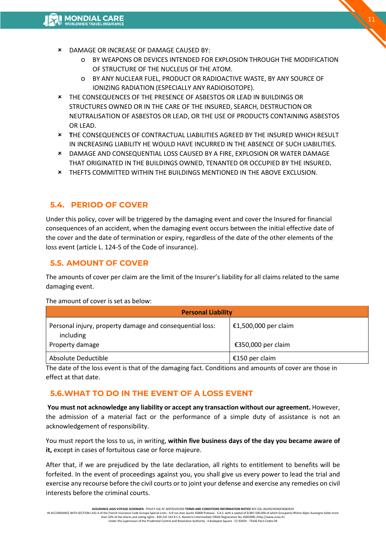- DAMAGE OR INCREASE OF DAMAGE CAUSED BY:
	- o BY WEAPONS OR DEVICES INTENDED FOR EXPLOSION THROUGH THE MODIFICATION OF STRUCTURE OF THE NUCLEUS OF THE ATOM.
	- o BY ANY NUCLEAR FUEL, PRODUCT OR RADIOACTIVE WASTE, BY ANY SOURCE OF IONIZING RADIATION (ESPECIALLY ANY RADIOISOTOPE).
- THE CONSEQUENCES OF THE PRESENCE OF ASBESTOS OR LEAD IN BUILDINGS OR STRUCTURES OWNED OR IN THE CARE OF THE INSURED, SEARCH, DESTRUCTION OR NEUTRALISATION OF ASBESTOS OR LEAD, OR THE USE OF PRODUCTS CONTAINING ASBESTOS OR LEAD.
- **T**HE CONSEQUENCES OF CONTRACTUAL LIABILITIES AGREED BY THE INSURED WHICH RESULT IN INCREASING LIABILITY HE WOULD HAVE INCURRED IN THE ABSENCE OF SUCH LIABILITIES.
- DAMAGE AND CONSEQUENTIAL LOSS CAUSED BY A FIRE, EXPLOSION OR WATER DAMAGE THAT ORIGINATED IN THE BUILDINGS OWNED, TENANTED OR OCCUPIED BY THE INSURED**.**
- THEFTS COMMITTED WITHIN THE BUILDINGS MENTIONED IN THE ABOVE EXCLUSION.

# **5.4. PERIOD OF COVER**

Under this policy, cover will be triggered by the damaging event and cover the Insured for financial consequences of an accident, when the damaging event occurs between the initial effective date of the cover and the date of termination or expiry, regardless of the date of the other elements of the loss event (article L. 124-5 of the Code of insurance).

# **5.5. AMOUNT OF COVER**

The amounts of cover per claim are the limit of the Insurer's liability for all claims related to the same damaging event.

| <b>Personal Liability</b>                                                                |                                            |  |  |
|------------------------------------------------------------------------------------------|--------------------------------------------|--|--|
| Personal injury, property damage and consequential loss:<br>including<br>Property damage | €1,500,000 per claim<br>€350,000 per claim |  |  |
| Absolute Deductible                                                                      | €150 per claim                             |  |  |

The amount of cover is set as below:

The date of the loss event is that of the damaging fact. Conditions and amounts of cover are those in effect at that date.

## **5.6.WHAT TO DO IN THE EVENT OF A LOSS EVENT**

**You must not acknowledge any liability or accept any transaction without our agreement.** However, the admission of a material fact or the performance of a simple duty of assistance is not an acknowledgement of responsibility.

You must report the loss to us, in writing, **within five business days of the day you became aware of it,** except in cases of fortuitous case or force majeure.

After that, if we are prejudiced by the late declaration, all rights to entitlement to benefits will be forfeited. In the event of proceedings against you, you shall give us every power to lead the trial and exercise any recourse before the civil courts or to joint your defense and exercise any remedies on civil interests before the criminal courts.

**ASSURANCE-AGIS-VOYAGE SCHENGEN** - POLICY GSL N° ADP20192393 **TERMS AND CONDITIONS INFORMATION NOTICE** REF GSL-AGISSCHENGEN082019

IN ACCORDANCE WITH SECTION L141-4 of the French insurance Code Groupe Special Lines - 6-8 rue Jean Jaurès 92800 Puteaux - S.A.S. with a capital of EURO 100,000 of which Groupama Rhône Alpes Auvergne holds more<br>than 10% of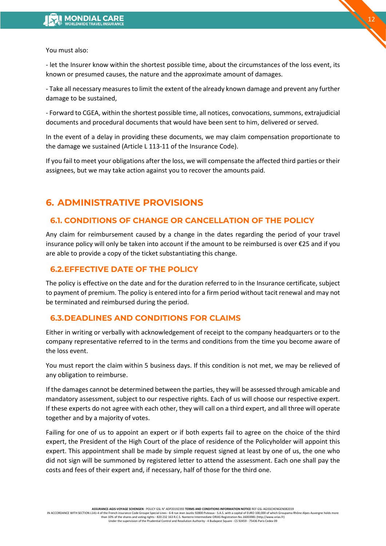

You must also:

- let the Insurer know within the shortest possible time, about the circumstances of the loss event, its known or presumed causes, the nature and the approximate amount of damages.

- Take all necessary measures to limit the extent of the already known damage and prevent any further damage to be sustained,

- Forward to CGEA, within the shortest possible time, all notices, convocations, summons, extrajudicial documents and procedural documents that would have been sent to him, delivered or served.

In the event of a delay in providing these documents, we may claim compensation proportionate to the damage we sustained (Article L 113-11 of the Insurance Code).

If you fail to meet your obligations after the loss, we will compensate the affected third parties or their assignees, but we may take action against you to recover the amounts paid.

# <span id="page-11-0"></span>**6. ADMINISTRATIVE PROVISIONS**

# **6.1. CONDITIONS OF CHANGE OR CANCELLATION OF THE POLICY**

 The customer may request a refund within 14 days of purchase. After this period, a refund is only possible upon presentation of an official letter of refusal from the letter of refusal from the embassy or consulate concerned. Your departure dates can be changed without charge if Mondialcare is informed at the latest 48 hours before the contract start date. After this deadline, the contract cannot be changed.

## **6.2.EFFECTIVE DATE OF THE POLICY**

The policy is effective on the date and for the duration referred to in the Insurance certificate, subject to payment of premium. The policy is entered into for a firm period without tacit renewal and may not be terminated and reimbursed during the period.

## **6.3.DEADLINES AND CONDITIONS FOR CLAIMS**

Either in writing or verbally with acknowledgement of receipt to the company headquarters or to the company representative referred to in the terms and conditions from the time you become aware of the loss event.

You must report the claim within 5 business days. If this condition is not met, we may be relieved of any obligation to reimburse.

If the damages cannot be determined between the parties, they will be assessed through amicable and mandatory assessment, subject to our respective rights. Each of us will choose our respective expert. If these experts do not agree with each other, they will call on a third expert, and all three will operate together and by a majority of votes.

Failing for one of us to appoint an expert or if both experts fail to agree on the choice of the third expert, the President of the High Court of the place of residence of the Policyholder will appoint this expert. This appointment shall be made by simple request signed at least by one of us, the one who did not sign will be summoned by registered letter to attend the assessment. Each one shall pay the costs and fees of their expert and, if necessary, half of those for the third one.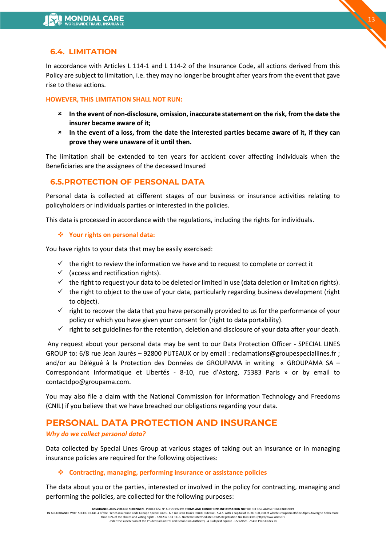# **6.4. LIMITATION**

In accordance with Articles L 114-1 and L 114-2 of the Insurance Code, all actions derived from this Policy are subject to limitation, i.e. they may no longer be brought after years from the event that gave rise to these actions.

#### **HOWEVER, THIS LIMITATION SHALL NOT RUN:**

- **In the event of non-disclosure, omission, inaccurate statement on the risk, from the date the insurer became aware of it;**
- **In the event of a loss, from the date the interested parties became aware of it, if they can prove they were unaware of it until then.**

The limitation shall be extended to ten years for accident cover affecting individuals when the Beneficiaries are the assignees of the deceased Insured

# **6.5.PROTECTION OF PERSONAL DATA**

Personal data is collected at different stages of our business or insurance activities relating to policyholders or individuals parties or interested in the policies.

This data is processed in accordance with the regulations, including the rights for individuals.

#### **Your rights on personal data:**

You have rights to your data that may be easily exercised:

- $\checkmark$  the right to review the information we have and to request to complete or correct it
- $\checkmark$  (access and rectification rights).
- $\checkmark$  the right to request your data to be deleted or limited in use (data deletion or limitation rights).
- $\checkmark$  the right to object to the use of your data, particularly regarding business development (right to object).
- $\checkmark$  right to recover the data that you have personally provided to us for the performance of your policy or which you have given your consent for (right to data portability).
- $\checkmark$  right to set guidelines for the retention, deletion and disclosure of your data after your death.

Any request about your personal data may be sent to our Data Protection Officer - SPECIAL LINES GROUP to: 6/8 rue Jean Jaurès - 92800 PUTEAUX or by email : reclamations@groupespeciallines.fr ; and/or au Délégué à la Protection des Données de GROUPAMA in writing « GROUPAMA SA – Correspondant Informatique et Libertés - 8-10, rue d'Astorg, 75383 Paris » or by email to contactdpo@groupama.com.

You may also file a claim with the National Commission for Information Technology and Freedoms (CNIL) if you believe that we have breached our obligations regarding your data.

# **PERSONAL DATA PROTECTION AND INSURANCE**

#### *Why do we collect personal data?*

Data collected by Special Lines Group at various stages of taking out an insurance or in managing insurance policies are required for the following objectives:

#### **Contracting, managing, performing insurance or assistance policies**

The data about you or the parties, interested or involved in the policy for contracting, managing and performing the policies, are collected for the following purposes: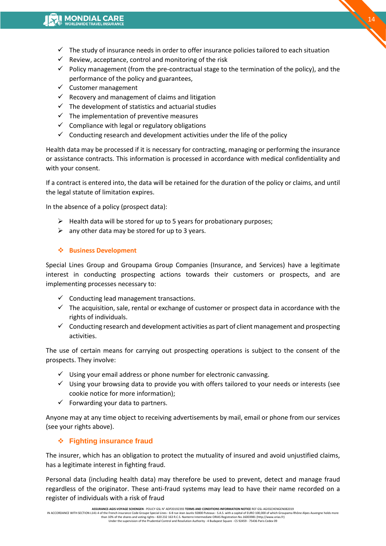- $\checkmark$  The study of insurance needs in order to offer insurance policies tailored to each situation
- $\checkmark$  Review, acceptance, control and monitoring of the risk
- $\checkmark$  Policy management (from the pre-contractual stage to the termination of the policy), and the performance of the policy and guarantees,
- $\checkmark$  Customer management
- $\checkmark$  Recovery and management of claims and litigation
- $\checkmark$  The development of statistics and actuarial studies
- $\checkmark$  The implementation of preventive measures
- $\checkmark$  Compliance with legal or regulatory obligations
- $\checkmark$  Conducting research and development activities under the life of the policy

Health data may be processed if it is necessary for contracting, managing or performing the insurance or assistance contracts. This information is processed in accordance with medical confidentiality and with your consent.

If a contract is entered into, the data will be retained for the duration of the policy or claims, and until the legal statute of limitation expires.

In the absence of a policy (prospect data):

- $\triangleright$  Health data will be stored for up to 5 years for probationary purposes;
- $\triangleright$  any other data may be stored for up to 3 years.

#### **Business Development**

Special Lines Group and Groupama Group Companies (Insurance, and Services) have a legitimate interest in conducting prospecting actions towards their customers or prospects, and are implementing processes necessary to:

- $\checkmark$  Conducting lead management transactions.
- $\checkmark$  The acquisition, sale, rental or exchange of customer or prospect data in accordance with the rights of individuals.
- $\checkmark$  Conducting research and development activities as part of client management and prospecting activities.

The use of certain means for carrying out prospecting operations is subject to the consent of the prospects. They involve:

- $\checkmark$  Using your email address or phone number for electronic canvassing.
- $\checkmark$  Using your browsing data to provide you with offers tailored to your needs or interests (see cookie notice for more information);
- $\checkmark$  Forwarding your data to partners.

Anyone may at any time object to receiving advertisements by mail, email or phone from our services (see your rights above).

#### **Fighting insurance fraud**

The insurer, which has an obligation to protect the mutuality of insured and avoid unjustified claims, has a legitimate interest in fighting fraud.

Personal data (including health data) may therefore be used to prevent, detect and manage fraud regardless of the originator. These anti-fraud systems may lead to have their name recorded on a register of individuals with a risk of fraud

**ASSURANCE-AGIS-VOYAGE SCHENGEN -** POLICY GSL N° ADP20192393 T**ERMS AND CONDITIONS INFORMATION NOTICE** REF GSL-AGISSCHENGEN082019<br>IN ACCORDANCE WITH SECTION L141-4 of the French insurance Code Groupe Special Lines - 6-8 ru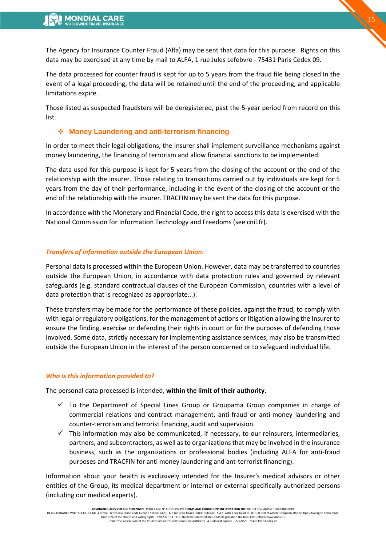The Agency for Insurance Counter Fraud (Alfa) may be sent that data for this purpose. Rights on this data may be exercised at any time by mail to ALFA, 1 rue Jules Lefebvre - 75431 Paris Cedex 09.

15

The data processed for counter fraud is kept for up to 5 years from the fraud file being closed In the event of a legal proceeding, the data will be retained until the end of the proceeding, and applicable limitations expire.

Those listed as suspected fraudsters will be deregistered, past the 5-year period from record on this list.

#### **Money Laundering and anti-terrorism financing**

In order to meet their legal obligations, the Insurer shall implement surveillance mechanisms against money laundering, the financing of terrorism and allow financial sanctions to be implemented.

The data used for this purpose is kept for 5 years from the closing of the account or the end of the relationship with the insurer. Those relating to transactions carried out by individuals are kept for 5 years from the day of their performance, including in the event of the closing of the account or the end of the relationship with the insurer. TRACFIN may be sent the data for this purpose.

In accordance with the Monetary and Financial Code, the right to access this data is exercised with the National Commission for Information Technology and Freedoms (see cnil.fr).

#### *Transfers of information outside the European Union:*

Personal data is processed within the European Union. However, data may be transferred to countries outside the European Union, in accordance with data protection rules and governed by relevant safeguards (e.g. standard contractual clauses of the European Commission, countries with a level of data protection that is recognized as appropriate...).

These transfers may be made for the performance of these policies, against the fraud, to comply with with legal or regulatory obligations, for the management of actions or litigation allowing the Insurer to ensure the finding, exercise or defending their rights in court or for the purposes of defending those involved. Some data, strictly necessary for implementing assistance services, may also be transmitted outside the European Union in the interest of the person concerned or to safeguard individual life.

#### *Who is this information provided to?*

The personal data processed is intended, **within the limit of their authority.**

- $\checkmark$  To the Department of Special Lines Group or Groupama Group companies in charge of commercial relations and contract management, anti-fraud or anti-money laundering and counter-terrorism and terrorist financing, audit and supervision.
- $\checkmark$  This information may also be communicated, if necessary, to our reinsurers, intermediaries, partners, and subcontractors, as well as to organizations that may be involved in the insurance business, such as the organizations or professional bodies (including ALFA for anti-fraud purposes and TRACFIN for anti money laundering and ant-terrorist financing).

Information about your health is exclusively intended for the Insurer's medical advisors or other entities of the Group, its medical department or internal or external specifically authorized persons (including our medical experts).

**ASSURANCE-AGIS-VOYAGE SCHENGEN** - POLICY GSL N° ADP20192393 **TERMS AND CONDITIONS INFORMATION NOTICE** REF GSL-AGISSCHENGEN082019

IN ACCORDANCE WITH SECTION L141-4 of the French insurance Code Groupe Special Lines - 6-8 rue Jean Jaurès 92800 Puteaux - S.A.S. with a capital of EURO 100,000 of which Groupama Rhône Alpes Auvergne holds more<br>than 10% of Under the supervision of the Prudential Control and Resolution Authority - 4 Budapest Square - CS 92459 - 75436 Paris Cedex 09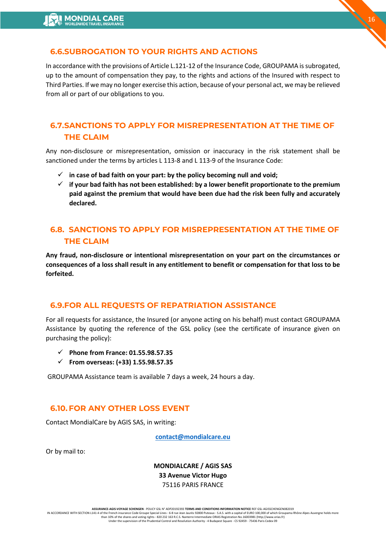# **6.6.SUBROGATION TO YOUR RIGHTS AND ACTIONS**

In accordance with the provisions of Article L.121-12 of the Insurance Code, GROUPAMA is subrogated, up to the amount of compensation they pay, to the rights and actions of the Insured with respect to Third Parties. If we may no longer exercise this action, because of your personal act, we may be relieved from all or part of our obligations to you.

16

# **6.7.SANCTIONS TO APPLY FOR MISREPRESENTATION AT THE TIME OF THE CLAIM**

Any non-disclosure or misrepresentation, omission or inaccuracy in the risk statement shall be sanctioned under the terms by articles L 113-8 and L 113-9 of the Insurance Code:

- $\checkmark$  in case of bad faith on your part: by the policy becoming null and void;
- $\checkmark$  if your bad faith has not been established: by a lower benefit proportionate to the premium **paid against the premium that would have been due had the risk been fully and accurately declared.**

# **6.8. SANCTIONS TO APPLY FOR MISREPRESENTATION AT THE TIME OF THE CLAIM**

**Any fraud, non-disclosure or intentional misrepresentation on your part on the circumstances or consequences of a loss shall result in any entitlement to benefit or compensation for that loss to be forfeited.**

## **6.9.FOR ALL REQUESTS OF REPATRIATION ASSISTANCE**

For all requests for assistance, the Insured (or anyone acting on his behalf) must contact GROUPAMA Assistance by quoting the reference of the GSL policy (see the certificate of insurance given on purchasing the policy):

- **Phone from France: 01.55.98.57.35**
- **From overseas: (+33) 1.55.98.57.35**

GROUPAMA Assistance team is available 7 days a week, 24 hours a day.

## **6.10.FOR ANY OTHER LOSS EVENT**

Contact MondialCare by AGIS SAS, in writing:

**[contact@mondialcare.eu](about:blank)**

Or by mail to:

**MONDIALCARE / AGIS SAS 33 Avenue Victor Hugo**  75116 PARIS FRANCE

**ASSURANCE-AGIS-VOYAGE SCHENGEN** - POLICY GSL N° ADP20192393 **TERMS AND CONDITIONS INFORMATION NOTICE** REF GSL-AGISSCHENGEN082019

IN ACCORDANCE WITH SECTION L141-4 of the French insurance Code Groupe Special Lines - 6-8 rue Jean Jaurès 92800 Puteaux - S.A.S. with a capital of EURO 100,000 of which Groupama Rhône Alpes Auvergne holds more than 10% of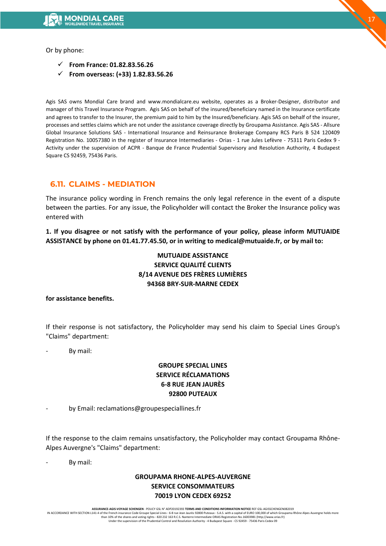Or by phone:

- **From France: 01.82.83.56.26**
- **From overseas: (+33) 1.82.83.56.26**

Agis SAS owns Mondial Care brand and www.mondialcare.eu website, operates as a Broker-Designer, distributor and manager of this Travel Insurance Program. Agis SAS on behalf of the insured/beneficiary named in the Insurance certificate and agrees to transfer to the Insurer, the premium paid to him by the Insured/beneficiary. Agis SAS on behalf of the insurer, processes and settles claims which are not under the assistance coverage directly by Groupama Assistance. Agis SAS - Allsure Global Insurance Solutions SAS - International Insurance and Reinsurance Brokerage Company RCS Paris B 524 120409 Registration No. 10057380 in the register of Insurance Intermediaries - Orias - 1 rue Jules Lefèvre - 75311 Paris Cedex 9 - Activity under the supervision of ACPR - Banque de France Prudential Supervisory and Resolution Authority, 4 Budapest Square CS 92459, 75436 Paris.

# **6.11. CLAIMS - MEDIATION**

The insurance policy wording in French remains the only legal reference in the event of a dispute between the parties. For any issue, the Policyholder will contact the Broker the Insurance policy was entered with

**1. If you disagree or not satisfy with the performance of your policy, please inform MUTUAIDE ASSISTANCE by phone on 01.41.77.45.50, or in writing to medical@mutuaide.fr, or by mail to:**

## **MUTUAIDE ASSISTANCE SERVICE QUALITÉ CLIENTS 8/14 AVENUE DES FRÈRES LUMIÈRES 94368 BRY-SUR-MARNE CEDEX**

#### **for assistance benefits.**

If their response is not satisfactory, the Policyholder may send his claim to Special Lines Group's "Claims" department:

By mail:

# **GROUPE SPECIAL LINES SERVICE RÉCLAMATIONS 6-8 RUE JEAN JAURÈS 92800 PUTEAUX**

by Email: reclamations@groupespeciallines.fr

If the response to the claim remains unsatisfactory, the Policyholder may contact Groupama Rhône-Alpes Auvergne's "Claims" department:

By mail:

## **GROUPAMA RHONE-ALPES-AUVERGNE SERVICE CONSOMMATEURS 70019 LYON CEDEX 69252**

ASSURANCE-AGIS-VOYAGE SCHENGEN - POLICY GSL N° ADP20192393 TERMS AND CONDITIONS INFORMATION NOTICE REF GSL-AGISSCHENGEN082019<br>IN ACCORDANCE WITH SECTION L141-4 of the French insurance Code Groupe Special Lines - 6-8 rue Je Under the supervision of the Prudential Control and Resolution Authority - 4 Budapest Square - CS 92459 - 75436 Paris Cedex 09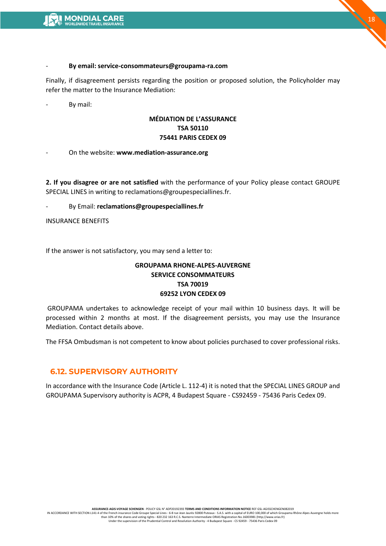

#### - **By email: service-consommateurs@groupama-ra.com**

Finally, if disagreement persists regarding the position or proposed solution, the Policyholder may refer the matter to the Insurance Mediation:

By mail:

#### **MÉDIATION DE L'ASSURANCE TSA 50110 75441 PARIS CEDEX 09**

- On the website: **www.mediation-assurance.org** 

**2. If you disagree or are not satisfied** with the performance of your Policy please contact GROUPE SPECIAL LINES in writing to reclamations@groupespeciallines.fr.

- By Email: **reclamations@groupespeciallines.fr**

INSURANCE BENEFITS

If the answer is not satisfactory, you may send a letter to:

## **GROUPAMA RHONE-ALPES-AUVERGNE SERVICE CONSOMMATEURS TSA 70019 69252 LYON CEDEX 09**

GROUPAMA undertakes to acknowledge receipt of your mail within 10 business days. It will be processed within 2 months at most. If the disagreement persists, you may use the Insurance Mediation. Contact details above.

The FFSA Ombudsman is not competent to know about policies purchased to cover professional risks.

#### **6.12. SUPERVISORY AUTHORITY**

In accordance with the Insurance Code (Article L. 112-4) it is noted that the SPECIAL LINES GROUP and GROUPAMA Supervisory authority is ACPR, 4 Budapest Square - CS92459 - 75436 Paris Cedex 09.